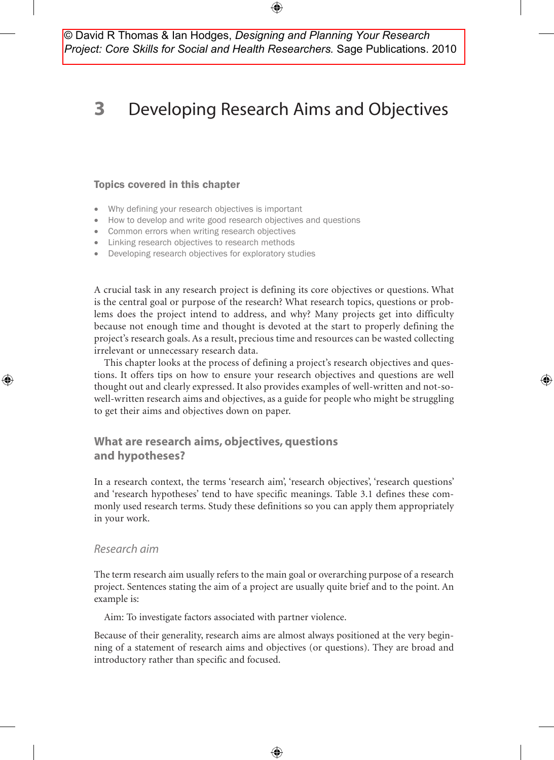© David R Thomas & Ian Hodges, *Designing and Planning Your Research Project: Core Skills for Social and Health Researchers.* Sage Publications. 2010

# **3** Developing Research Aims and Objectives

#### Topics covered in this chapter

- Why defining your research objectives is important
- How to develop and write good research objectives and questions
- Common errors when writing research objectives
- Linking research objectives to research methods
- Developing research objectives for exploratory studies

A crucial task in any research project is defining its core objectives or questions. What is the central goal or purpose of the research? What research topics, questions or problems does the project intend to address, and why? Many projects get into difficulty because not enough time and thought is devoted at the start to properly defining the project's research goals. As a result, precious time and resources can be wasted collecting irrelevant or unnecessary research data.

This chapter looks at the process of defining a project's research objectives and questions. It offers tips on how to ensure your research objectives and questions are well thought out and clearly expressed. It also provides examples of well-written and not-sowell-written research aims and objectives, as a guide for people who might be struggling to get their aims and objectives down on paper.

⊕

# **What are research aims, objectives, questions and hypotheses?**

In a research context, the terms 'research aim', 'research objectives', 'research questions' and 'research hypotheses' tend to have specific meanings. Table 3.1 defines these commonly used research terms. Study these definitions so you can apply them appropriately in your work.

## *Research aim*

⊕

The term research aim usually refers to the main goal or overarching purpose of a research project. Sentences stating the aim of a project are usually quite brief and to the point. An example is:

Aim: To investigate factors associated with partner violence.

Because of their generality, research aims are almost always positioned at the very beginning of a statement of research aims and objectives (or questions). They are broad and introductory rather than specific and focused.

♠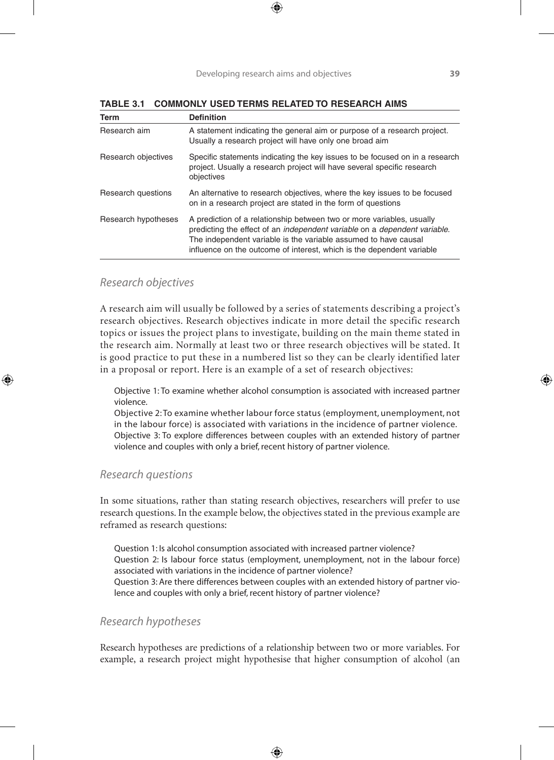| Term                | <b>Definition</b>                                                                                                                                                                                                                                                                                             |
|---------------------|---------------------------------------------------------------------------------------------------------------------------------------------------------------------------------------------------------------------------------------------------------------------------------------------------------------|
| Research aim        | A statement indicating the general aim or purpose of a research project.<br>Usually a research project will have only one broad aim                                                                                                                                                                           |
| Research objectives | Specific statements indicating the key issues to be focused on in a research<br>project. Usually a research project will have several specific research<br>objectives                                                                                                                                         |
| Research questions  | An alternative to research objectives, where the key issues to be focused<br>on in a research project are stated in the form of questions                                                                                                                                                                     |
| Research hypotheses | A prediction of a relationship between two or more variables, usually<br>predicting the effect of an <i>independent variable</i> on a <i>dependent variable</i> .<br>The independent variable is the variable assumed to have causal<br>influence on the outcome of interest, which is the dependent variable |

**Table 3.1 Commonly used terms related to research aims**

## *Research objectives*

♠

A research aim will usually be followed by a series of statements describing a project's research objectives. Research objectives indicate in more detail the specific research topics or issues the project plans to investigate, building on the main theme stated in the research aim. Normally at least two or three research objectives will be stated. It is good practice to put these in a numbered list so they can be clearly identified later in a proposal or report. Here is an example of a set of research objectives:

Objective 1: To examine whether alcohol consumption is associated with increased partner violence.

Objective 2: To examine whether labour force status (employment, unemployment, not in the labour force) is associated with variations in the incidence of partner violence. Objective 3: To explore differences between couples with an extended history of partner violence and couples with only a brief, recent history of partner violence.

#### *Research questions*

In some situations, rather than stating research objectives, researchers will prefer to use research questions. In the example below, the objectives stated in the previous example are reframed as research questions:

Question 1: Is alcohol consumption associated with increased partner violence? Question 2: Is labour force status (employment, unemployment, not in the labour force) associated with variations in the incidence of partner violence? Question 3: Are there differences between couples with an extended history of partner violence and couples with only a brief, recent history of partner violence?

### *Research hypotheses*

Research hypotheses are predictions of a relationship between two or more variables. For example, a research project might hypothesise that higher consumption of alcohol (an

♠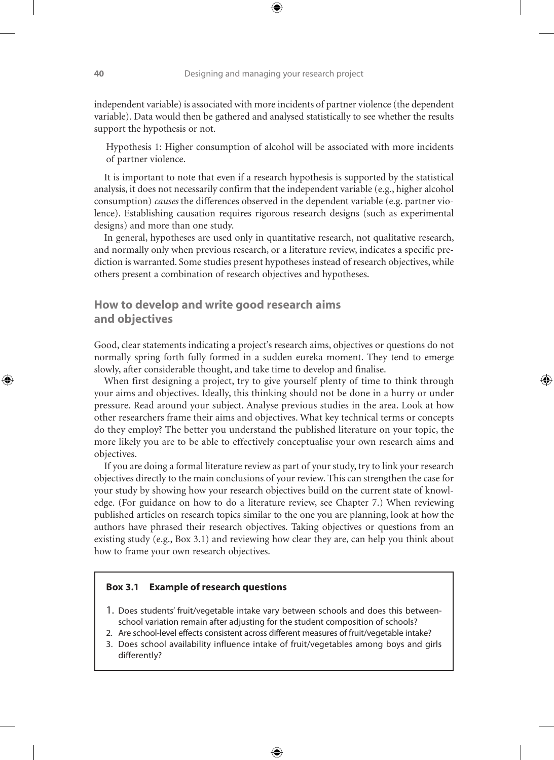independent variable) is associated with more incidents of partner violence (the dependent variable). Data would then be gathered and analysed statistically to see whether the results support the hypothesis or not.

Hypothesis 1: Higher consumption of alcohol will be associated with more incidents of partner violence.

It is important to note that even if a research hypothesis is supported by the statistical analysis, it does not necessarily confirm that the independent variable (e.g., higher alcohol consumption) *causes* the differences observed in the dependent variable (e.g. partner violence). Establishing causation requires rigorous research designs (such as experimental designs) and more than one study.

In general, hypotheses are used only in quantitative research, not qualitative research, and normally only when previous research, or a literature review, indicates a specific prediction is warranted. Some studies present hypotheses instead of research objectives, while others present a combination of research objectives and hypotheses.

# **How to develop and write good research aims and objectives**

Good, clear statements indicating a project's research aims, objectives or questions do not normally spring forth fully formed in a sudden eureka moment. They tend to emerge slowly, after considerable thought, and take time to develop and finalise.

⊕

When first designing a project, try to give yourself plenty of time to think through your aims and objectives. Ideally, this thinking should not be done in a hurry or under pressure. Read around your subject. Analyse previous studies in the area. Look at how other researchers frame their aims and objectives. What key technical terms or concepts do they employ? The better you understand the published literature on your topic, the more likely you are to be able to effectively conceptualise your own research aims and objectives.

If you are doing a formal literature review as part of your study, try to link your research objectives directly to the main conclusions of your review. This can strengthen the case for your study by showing how your research objectives build on the current state of knowledge. (For guidance on how to do a literature review, see Chapter 7.) When reviewing published articles on research topics similar to the one you are planning, look at how the authors have phrased their research objectives. Taking objectives or questions from an existing study (e.g., Box 3.1) and reviewing how clear they are, can help you think about how to frame your own research objectives.

#### **Box 3.1 Example of research questions**

- 1. Does students' fruit/vegetable intake vary between schools and does this betweenschool variation remain after adjusting for the student composition of schools?
- 2. Are school-level effects consistent across different measures of fruit/vegetable intake?
- 3. Does school availability influence intake of fruit/vegetables among boys and girls differently?

♠

♠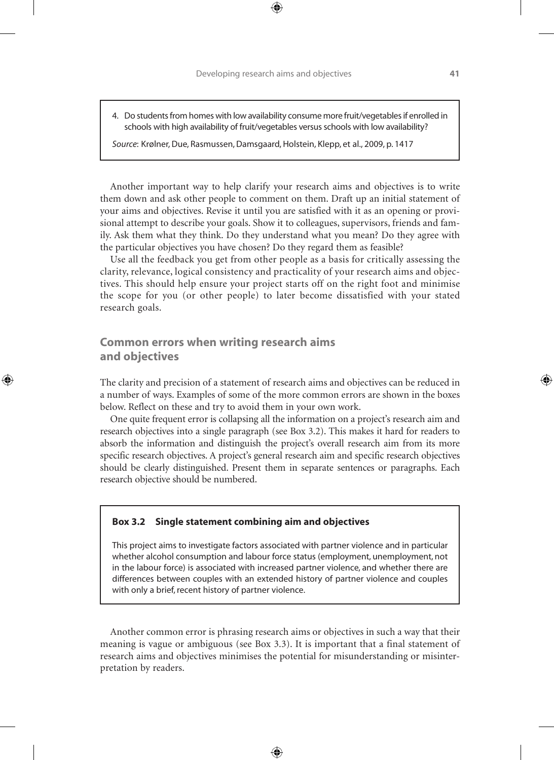4. Do students from homes with low availability consume more fruit/vegetables if enrolled in schools with high availability of fruit/vegetables versus schools with low availability?

*Source*: Krølner, Due, Rasmussen, Damsgaard, Holstein, Klepp, et al., 2009, p. 1417

Another important way to help clarify your research aims and objectives is to write them down and ask other people to comment on them. Draft up an initial statement of your aims and objectives. Revise it until you are satisfied with it as an opening or provisional attempt to describe your goals. Show it to colleagues, supervisors, friends and family. Ask them what they think. Do they understand what you mean? Do they agree with the particular objectives you have chosen? Do they regard them as feasible?

Use all the feedback you get from other people as a basis for critically assessing the clarity, relevance, logical consistency and practicality of your research aims and objectives. This should help ensure your project starts off on the right foot and minimise the scope for you (or other people) to later become dissatisfied with your stated research goals.

# **Common errors when writing research aims and objectives**

♠

The clarity and precision of a statement of research aims and objectives can be reduced in a number of ways. Examples of some of the more common errors are shown in the boxes below. Reflect on these and try to avoid them in your own work.

One quite frequent error is collapsing all the information on a project's research aim and research objectives into a single paragraph (see Box 3.2). This makes it hard for readers to absorb the information and distinguish the project's overall research aim from its more specific research objectives. A project's general research aim and specific research objectives should be clearly distinguished. Present them in separate sentences or paragraphs. Each research objective should be numbered.

#### **Box 3.2 Single statement combining aim and objectives**

This project aims to investigate factors associated with partner violence and in particular whether alcohol consumption and labour force status (employment, unemployment, not in the labour force) is associated with increased partner violence, and whether there are differences between couples with an extended history of partner violence and couples with only a brief, recent history of partner violence.

Another common error is phrasing research aims or objectives in such a way that their meaning is vague or ambiguous (see Box 3.3). It is important that a final statement of research aims and objectives minimises the potential for misunderstanding or misinterpretation by readers.

♠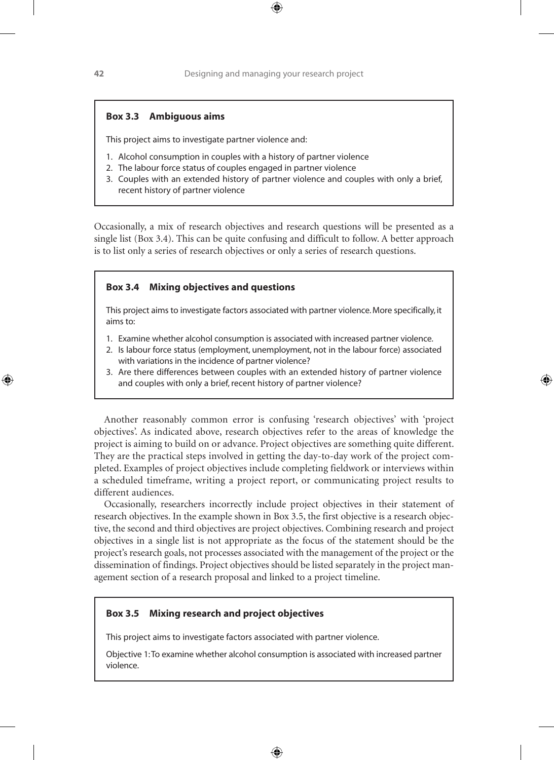### **Box 3.3 Ambiguous aims**

This project aims to investigate partner violence and:

- 1. Alcohol consumption in couples with a history of partner violence
- 2. The labour force status of couples engaged in partner violence
- 3. Couples with an extended history of partner violence and couples with only a brief, recent history of partner violence

Occasionally, a mix of research objectives and research questions will be presented as a single list (Box 3.4). This can be quite confusing and difficult to follow. A better approach is to list only a series of research objectives or only a series of research questions.

## **Box 3.4 Mixing objectives and questions**

This project aims to investigate factors associated with partner violence. More specifically, it aims to:

- 1. Examine whether alcohol consumption is associated with increased partner violence.
- 2. Is labour force status (employment, unemployment, not in the labour force) associated with variations in the incidence of partner violence?
- 3. Are there differences between couples with an extended history of partner violence and couples with only a brief, recent history of partner violence?

Another reasonably common error is confusing 'research objectives' with 'project objectives'. As indicated above, research objectives refer to the areas of knowledge the project is aiming to build on or advance. Project objectives are something quite different. They are the practical steps involved in getting the day-to-day work of the project completed. Examples of project objectives include completing fieldwork or interviews within a scheduled timeframe, writing a project report, or communicating project results to different audiences.

Occasionally, researchers incorrectly include project objectives in their statement of research objectives. In the example shown in Box 3.5, the first objective is a research objective, the second and third objectives are project objectives. Combining research and project objectives in a single list is not appropriate as the focus of the statement should be the project's research goals, not processes associated with the management of the project or the dissemination of findings. Project objectives should be listed separately in the project management section of a research proposal and linked to a project timeline.

#### **Box 3.5 Mixing research and project objectives**

This project aims to investigate factors associated with partner violence.

Objective 1: To examine whether alcohol consumption is associated with increased partner violence.

♠

♠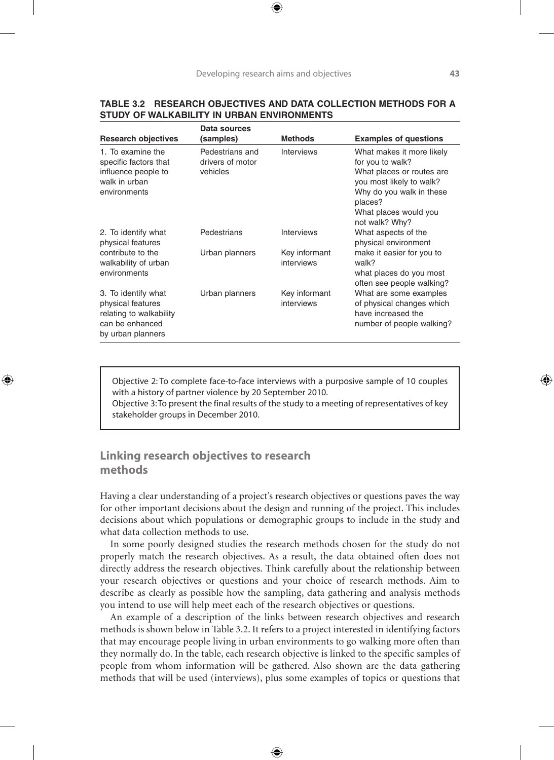| TABLE 3.2 RESEARCH OBJECTIVES AND DATA COLLECTION METHODS FOR A |
|-----------------------------------------------------------------|
| STUDY OF WALKABILITY IN URBAN ENVIRONMENTS                      |

| <b>Research objectives</b>                                                                                  | Data sources<br>(samples)                       | <b>Methods</b>              | <b>Examples of questions</b>                                                                                                                                                             |
|-------------------------------------------------------------------------------------------------------------|-------------------------------------------------|-----------------------------|------------------------------------------------------------------------------------------------------------------------------------------------------------------------------------------|
| 1. To examine the<br>specific factors that<br>influence people to<br>walk in urban<br>environments          | Pedestrians and<br>drivers of motor<br>vehicles | Interviews                  | What makes it more likely<br>for you to walk?<br>What places or routes are<br>you most likely to walk?<br>Why do you walk in these<br>places?<br>What places would you<br>not walk? Why? |
| 2. To identify what<br>physical features                                                                    | Pedestrians                                     | <b>Interviews</b>           | What aspects of the<br>physical environment                                                                                                                                              |
| contribute to the<br>walkability of urban<br>environments                                                   | Urban planners                                  | Key informant<br>interviews | make it easier for you to<br>walk?<br>what places do you most<br>often see people walking?                                                                                               |
| 3. To identify what<br>physical features<br>relating to walkability<br>can be enhanced<br>by urban planners | Urban planners                                  | Key informant<br>interviews | What are some examples<br>of physical changes which<br>have increased the<br>number of people walking?                                                                                   |

Objective 2: To complete face-to-face interviews with a purposive sample of 10 couples with a history of partner violence by 20 September 2010.

Objective 3: To present the final results of the study to a meeting of representatives of key stakeholder groups in December 2010.

## **Linking research objectives to research methods**

♠

Having a clear understanding of a project's research objectives or questions paves the way for other important decisions about the design and running of the project. This includes decisions about which populations or demographic groups to include in the study and what data collection methods to use.

In some poorly designed studies the research methods chosen for the study do not properly match the research objectives. As a result, the data obtained often does not directly address the research objectives. Think carefully about the relationship between your research objectives or questions and your choice of research methods. Aim to describe as clearly as possible how the sampling, data gathering and analysis methods you intend to use will help meet each of the research objectives or questions.

An example of a description of the links between research objectives and research methods is shown below in Table 3.2. It refers to a project interested in identifying factors that may encourage people living in urban environments to go walking more often than they normally do. In the table, each research objective is linked to the specific samples of people from whom information will be gathered. Also shown are the data gathering methods that will be used (interviews), plus some examples of topics or questions that

♠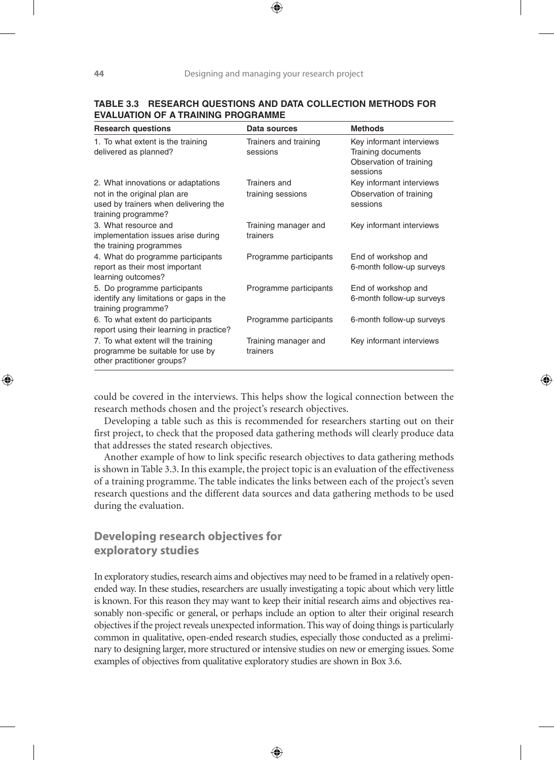| <b>Research questions</b>                                                                                                         | Data sources                      | <b>Methods</b>                                                                        |
|-----------------------------------------------------------------------------------------------------------------------------------|-----------------------------------|---------------------------------------------------------------------------------------|
| 1. To what extent is the training<br>delivered as planned?                                                                        | Trainers and training<br>sessions | Key informant interviews<br>Training documents<br>Observation of training<br>sessions |
| 2. What innovations or adaptations<br>not in the original plan are<br>used by trainers when delivering the<br>training programme? | Trainers and<br>training sessions | Key informant interviews<br>Observation of training<br>sessions                       |
| 3. What resource and<br>implementation issues arise during<br>the training programmes                                             | Training manager and<br>trainers  | Key informant interviews                                                              |
| 4. What do programme participants<br>report as their most important<br>learning outcomes?                                         | Programme participants            | End of workshop and<br>6-month follow-up surveys                                      |
| 5. Do programme participants<br>identify any limitations or gaps in the<br>training programme?                                    | Programme participants            | End of workshop and<br>6-month follow-up surveys                                      |
| 6. To what extent do participants<br>report using their learning in practice?                                                     | Programme participants            | 6-month follow-up surveys                                                             |
| 7. To what extent will the training<br>programme be suitable for use by<br>other practitioner groups?                             | Training manager and<br>trainers  | Key informant interviews                                                              |

### **Table 3.3 Research questions and data collection methods for evaluation of a training programme**

could be covered in the interviews. This helps show the logical connection between the research methods chosen and the project's research objectives.

⊕

Developing a table such as this is recommended for researchers starting out on their first project, to check that the proposed data gathering methods will clearly produce data that addresses the stated research objectives.

Another example of how to link specific research objectives to data gathering methods is shown in Table 3.3. In this example, the project topic is an evaluation of the effectiveness of a training programme. The table indicates the links between each of the project's seven research questions and the different data sources and data gathering methods to be used during the evaluation.

# **Developing research objectives for exploratory studies**

In exploratory studies, research aims and objectives may need to be framed in a relatively openended way. In these studies, researchers are usually investigating a topic about which very little is known. For this reason they may want to keep their initial research aims and objectives reasonably non-specific or general, or perhaps include an option to alter their original research objectives if the project reveals unexpected information. This way of doing things is particularly common in qualitative, open-ended research studies, especially those conducted as a preliminary to designing larger, more structured or intensive studies on new or emerging issues. Some examples of objectives from qualitative exploratory studies are shown in Box 3.6.

⊕

♠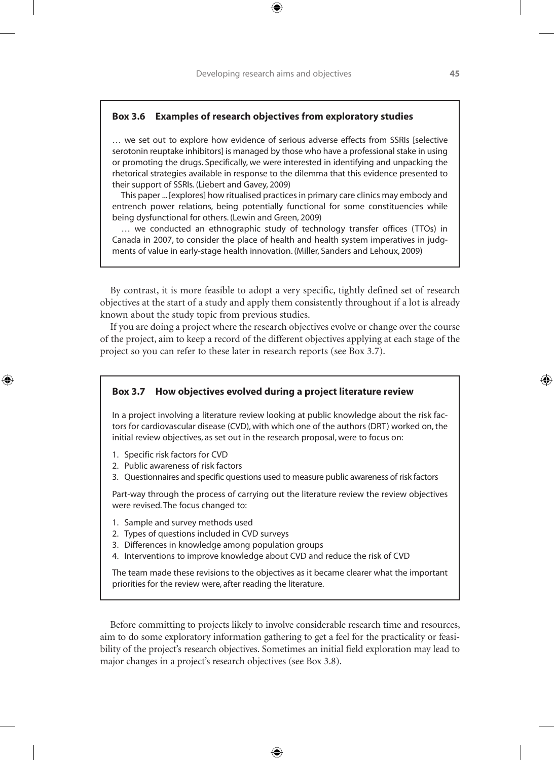## **Box 3.6 Examples of research objectives from exploratory studies**

… we set out to explore how evidence of serious adverse effects from SSRIs [selective serotonin reuptake inhibitors] is managed by those who have a professional stake in using or promoting the drugs. Specifically, we were interested in identifying and unpacking the rhetorical strategies available in response to the dilemma that this evidence presented to their support of SSRIs. (Liebert and Gavey, 2009)

 This paper ... [explores] how ritualised practices in primary care clinics may embody and entrench power relations, being potentially functional for some constituencies while being dysfunctional for others. (Lewin and Green, 2009)

 … we conducted an ethnographic study of technology transfer offices (TTOs) in Canada in 2007, to consider the place of health and health system imperatives in judgments of value in early-stage health innovation. (Miller, Sanders and Lehoux, 2009)

By contrast, it is more feasible to adopt a very specific, tightly defined set of research objectives at the start of a study and apply them consistently throughout if a lot is already known about the study topic from previous studies.

If you are doing a project where the research objectives evolve or change over the course of the project, aim to keep a record of the different objectives applying at each stage of the project so you can refer to these later in research reports (see Box 3.7).

#### **Box 3.7 How objectives evolved during a project literature review**

In a project involving a literature review looking at public knowledge about the risk factors for cardiovascular disease (CVD), with which one of the authors (DRT) worked on, the initial review objectives, as set out in the research proposal, were to focus on:

1. Specific risk factors for CVD

♠

- 2. Public awareness of risk factors
- 3. Questionnaires and specific questions used to measure public awareness of risk factors

Part-way through the process of carrying out the literature review the review objectives were revised. The focus changed to:

- 1. Sample and survey methods used
- 2. Types of questions included in CVD surveys
- 3. Differences in knowledge among population groups
- 4. Interventions to improve knowledge about CVD and reduce the risk of CVD

The team made these revisions to the objectives as it became clearer what the important priorities for the review were, after reading the literature.

Before committing to projects likely to involve considerable research time and resources, aim to do some exploratory information gathering to get a feel for the practicality or feasibility of the project's research objectives. Sometimes an initial field exploration may lead to major changes in a project's research objectives (see Box 3.8).

♠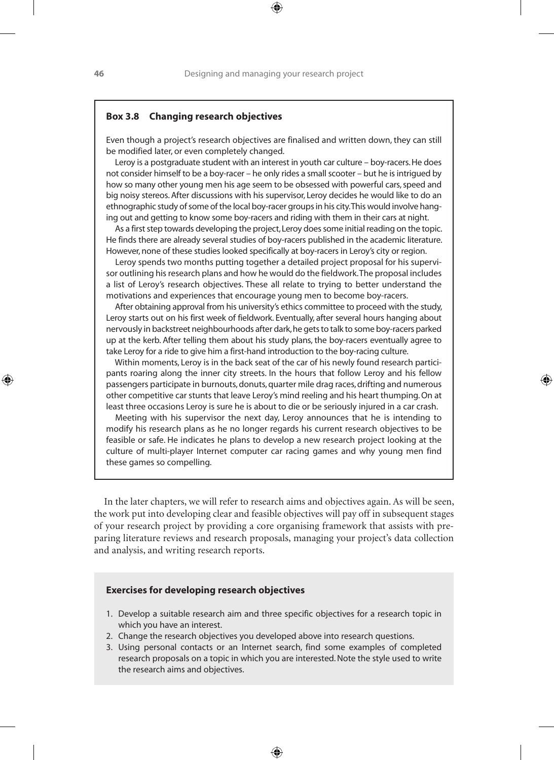#### **Box 3.8 Changing research objectives**

Even though a project's research objectives are finalised and written down, they can still be modified later, or even completely changed.

 Leroy is a postgraduate student with an interest in youth car culture – boy-racers. He does not consider himself to be a boy-racer – he only rides a small scooter – but he is intrigued by how so many other young men his age seem to be obsessed with powerful cars, speed and big noisy stereos. After discussions with his supervisor, Leroy decides he would like to do an ethnographic study of some of the local boy-racer groups in his city. This would involve hanging out and getting to know some boy-racers and riding with them in their cars at night.

 As a first step towards developing the project, Leroy does some initial reading on the topic. He finds there are already several studies of boy-racers published in the academic literature. However, none of these studies looked specifically at boy-racers in Leroy's city or region.

 Leroy spends two months putting together a detailed project proposal for his supervisor outlining his research plans and how he would do the fieldwork. The proposal includes a list of Leroy's research objectives. These all relate to trying to better understand the motivations and experiences that encourage young men to become boy-racers.

 After obtaining approval from his university's ethics committee to proceed with the study, Leroy starts out on his first week of fieldwork. Eventually, after several hours hanging about nervously in backstreet neighbourhoods after dark, he gets to talk to some boy-racers parked up at the kerb. After telling them about his study plans, the boy-racers eventually agree to take Leroy for a ride to give him a first-hand introduction to the boy-racing culture.

 Within moments, Leroy is in the back seat of the car of his newly found research participants roaring along the inner city streets. In the hours that follow Leroy and his fellow passengers participate in burnouts, donuts, quarter mile drag races, drifting and numerous other competitive car stunts that leave Leroy's mind reeling and his heart thumping. On at least three occasions Leroy is sure he is about to die or be seriously injured in a car crash.

 Meeting with his supervisor the next day, Leroy announces that he is intending to modify his research plans as he no longer regards his current research objectives to be feasible or safe. He indicates he plans to develop a new research project looking at the culture of multi-player Internet computer car racing games and why young men find these games so compelling.

In the later chapters, we will refer to research aims and objectives again. As will be seen, the work put into developing clear and feasible objectives will pay off in subsequent stages of your research project by providing a core organising framework that assists with preparing literature reviews and research proposals, managing your project's data collection and analysis, and writing research reports.

### **Exercises for developing research objectives**

- 1. Develop a suitable research aim and three specific objectives for a research topic in which you have an interest.
- 2. Change the research objectives you developed above into research questions.
- 3. Using personal contacts or an Internet search, find some examples of completed research proposals on a topic in which you are interested. Note the style used to write the research aims and objectives.

♠

♠